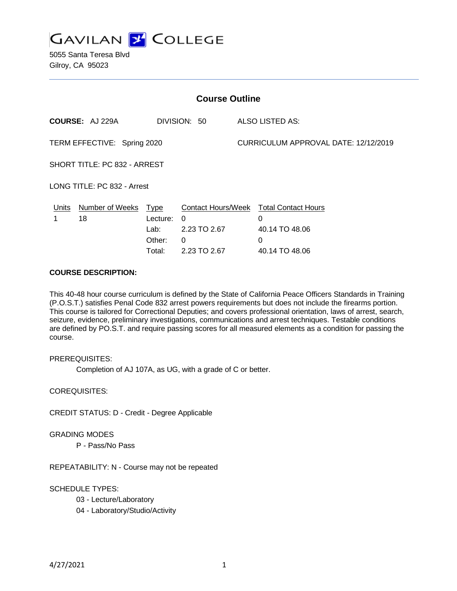

5055 Santa Teresa Blvd Gilroy, CA 95023

| <b>Course Outline</b>        |                                        |          |                 |  |                                                    |  |
|------------------------------|----------------------------------------|----------|-----------------|--|----------------------------------------------------|--|
|                              | <b>COURSE: AJ 229A</b><br>DIVISION: 50 |          | ALSO LISTED AS: |  |                                                    |  |
| TERM EFFECTIVE: Spring 2020  |                                        |          |                 |  | CURRICULUM APPROVAL DATE: 12/12/2019               |  |
| SHORT TITLE: PC 832 - ARREST |                                        |          |                 |  |                                                    |  |
| LONG TITLE: PC 832 - Arrest  |                                        |          |                 |  |                                                    |  |
|                              | Units Number of Weeks Type<br>18       | Lecture: | 0               |  | <b>Contact Hours/Week Total Contact Hours</b><br>0 |  |
|                              |                                        | Lab:     | 2.23 TO 2.67    |  | 40.14 TO 48.06                                     |  |
|                              |                                        | Other:   | $\Omega$        |  | 0                                                  |  |
|                              |                                        | Total:   | 2.23 TO 2.67    |  | 40.14 TO 48.06                                     |  |

#### **COURSE DESCRIPTION:**

This 40-48 hour course curriculum is defined by the State of California Peace Officers Standards in Training (P.O.S.T.) satisfies Penal Code 832 arrest powers requirements but does not include the firearms portion. This course is tailored for Correctional Deputies; and covers professional orientation, laws of arrest, search, seizure, evidence, preliminary investigations, communications and arrest techniques. Testable conditions are defined by PO.S.T. and require passing scores for all measured elements as a condition for passing the course.

PREREQUISITES:

Completion of AJ 107A, as UG, with a grade of C or better.

COREQUISITES:

CREDIT STATUS: D - Credit - Degree Applicable

GRADING MODES

P - Pass/No Pass

REPEATABILITY: N - Course may not be repeated

### SCHEDULE TYPES:

- 03 Lecture/Laboratory
- 04 Laboratory/Studio/Activity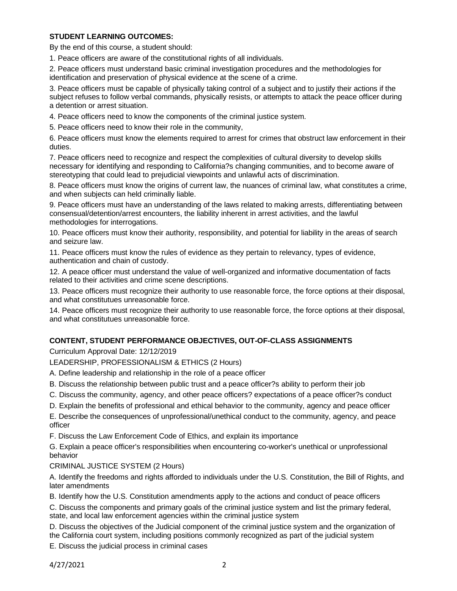## **STUDENT LEARNING OUTCOMES:**

By the end of this course, a student should:

1. Peace officers are aware of the constitutional rights of all individuals.

2. Peace officers must understand basic criminal investigation procedures and the methodologies for identification and preservation of physical evidence at the scene of a crime.

3. Peace officers must be capable of physically taking control of a subject and to justify their actions if the subject refuses to follow verbal commands, physically resists, or attempts to attack the peace officer during a detention or arrest situation.

4. Peace officers need to know the components of the criminal justice system.

5. Peace officers need to know their role in the community,

6. Peace officers must know the elements required to arrest for crimes that obstruct law enforcement in their duties.

7. Peace officers need to recognize and respect the complexities of cultural diversity to develop skills necessary for identifying and responding to California?s changing communities, and to become aware of stereotyping that could lead to prejudicial viewpoints and unlawful acts of discrimination.

8. Peace officers must know the origins of current law, the nuances of criminal law, what constitutes a crime, and when subjects can held criminally liable.

9. Peace officers must have an understanding of the laws related to making arrests, differentiating between consensual/detention/arrest encounters, the liability inherent in arrest activities, and the lawful methodologies for interrogations.

10. Peace officers must know their authority, responsibility, and potential for liability in the areas of search and seizure law.

11. Peace officers must know the rules of evidence as they pertain to relevancy, types of evidence, authentication and chain of custody.

12. A peace officer must understand the value of well-organized and informative documentation of facts related to their activities and crime scene descriptions.

13. Peace officers must recognize their authority to use reasonable force, the force options at their disposal, and what constitutues unreasonable force.

14. Peace officers must recognize their authority to use reasonable force, the force options at their disposal, and what constitutues unreasonable force.

# **CONTENT, STUDENT PERFORMANCE OBJECTIVES, OUT-OF-CLASS ASSIGNMENTS**

Curriculum Approval Date: 12/12/2019

LEADERSHIP, PROFESSIONALISM & ETHICS (2 Hours)

A. Define leadership and relationship in the role of a peace officer

- B. Discuss the relationship between public trust and a peace officer?s ability to perform their job
- C. Discuss the community, agency, and other peace officers? expectations of a peace officer?s conduct
- D. Explain the benefits of professional and ethical behavior to the community, agency and peace officer

E. Describe the consequences of unprofessional/unethical conduct to the community, agency, and peace officer

F. Discuss the Law Enforcement Code of Ethics, and explain its importance

G. Explain a peace officer's responsibilities when encountering co-worker's unethical or unprofessional behavior

### CRIMINAL JUSTICE SYSTEM (2 Hours)

A. Identify the freedoms and rights afforded to individuals under the U.S. Constitution, the Bill of Rights, and later amendments

B. Identify how the U.S. Constitution amendments apply to the actions and conduct of peace officers

C. Discuss the components and primary goals of the criminal justice system and list the primary federal, state, and local law enforcement agencies within the criminal justice system

D. Discuss the objectives of the Judicial component of the criminal justice system and the organization of the California court system, including positions commonly recognized as part of the judicial system

E. Discuss the judicial process in criminal cases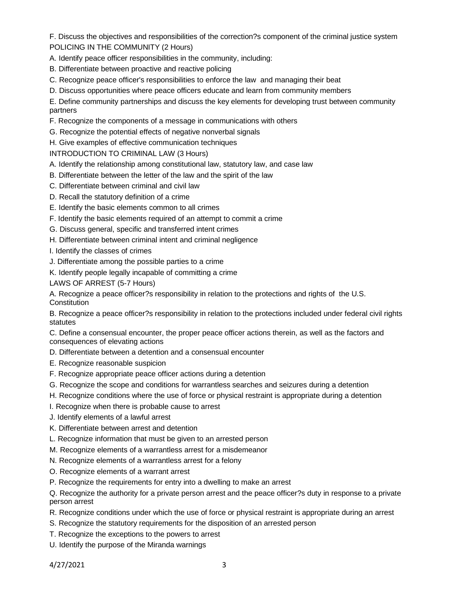F. Discuss the objectives and responsibilities of the correction?s component of the criminal justice system POLICING IN THE COMMUNITY (2 Hours)

A. Identify peace officer responsibilities in the community, including:

- B. Differentiate between proactive and reactive policing
- C. Recognize peace officer's responsibilities to enforce the law and managing their beat
- D. Discuss opportunities where peace officers educate and learn from community members

E. Define community partnerships and discuss the key elements for developing trust between community partners

- F. Recognize the components of a message in communications with others
- G. Recognize the potential effects of negative nonverbal signals
- H. Give examples of effective communication techniques

INTRODUCTION TO CRIMINAL LAW (3 Hours)

- A. Identify the relationship among constitutional law, statutory law, and case law
- B. Differentiate between the letter of the law and the spirit of the law
- C. Differentiate between criminal and civil law
- D. Recall the statutory definition of a crime
- E. Identify the basic elements common to all crimes
- F. Identify the basic elements required of an attempt to commit a crime
- G. Discuss general, specific and transferred intent crimes
- H. Differentiate between criminal intent and criminal negligence
- I. Identify the classes of crimes
- J. Differentiate among the possible parties to a crime
- K. Identify people legally incapable of committing a crime
- LAWS OF ARREST (5-7 Hours)

A. Recognize a peace officer?s responsibility in relation to the protections and rights of the U.S. **Constitution** 

B. Recognize a peace officer?s responsibility in relation to the protections included under federal civil rights statutes

C. Define a consensual encounter, the proper peace officer actions therein, as well as the factors and consequences of elevating actions

- D. Differentiate between a detention and a consensual encounter
- E. Recognize reasonable suspicion
- F. Recognize appropriate peace officer actions during a detention
- G. Recognize the scope and conditions for warrantless searches and seizures during a detention
- H. Recognize conditions where the use of force or physical restraint is appropriate during a detention
- I. Recognize when there is probable cause to arrest
- J. Identify elements of a lawful arrest
- K. Differentiate between arrest and detention
- L. Recognize information that must be given to an arrested person
- M. Recognize elements of a warrantless arrest for a misdemeanor
- N. Recognize elements of a warrantless arrest for a felony
- O. Recognize elements of a warrant arrest
- P. Recognize the requirements for entry into a dwelling to make an arrest

Q. Recognize the authority for a private person arrest and the peace officer?s duty in response to a private person arrest

- R. Recognize conditions under which the use of force or physical restraint is appropriate during an arrest
- S. Recognize the statutory requirements for the disposition of an arrested person
- T. Recognize the exceptions to the powers to arrest
- U. Identify the purpose of the Miranda warnings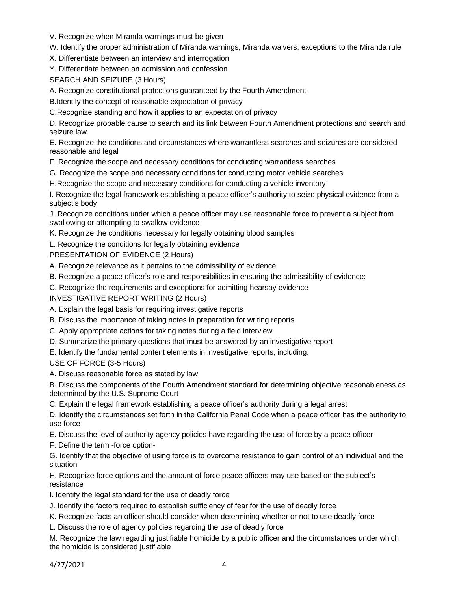V. Recognize when Miranda warnings must be given

W. Identify the proper administration of Miranda warnings, Miranda waivers, exceptions to the Miranda rule

X. Differentiate between an interview and interrogation

Y. Differentiate between an admission and confession

SEARCH AND SEIZURE (3 Hours)

A. Recognize constitutional protections guaranteed by the Fourth Amendment

B.Identify the concept of reasonable expectation of privacy

C.Recognize standing and how it applies to an expectation of privacy

D. Recognize probable cause to search and its link between Fourth Amendment protections and search and seizure law

E. Recognize the conditions and circumstances where warrantless searches and seizures are considered reasonable and legal

F. Recognize the scope and necessary conditions for conducting warrantless searches

G. Recognize the scope and necessary conditions for conducting motor vehicle searches

H.Recognize the scope and necessary conditions for conducting a vehicle inventory

I. Recognize the legal framework establishing a peace officer's authority to seize physical evidence from a subject's body

J. Recognize conditions under which a peace officer may use reasonable force to prevent a subject from swallowing or attempting to swallow evidence

K. Recognize the conditions necessary for legally obtaining blood samples

L. Recognize the conditions for legally obtaining evidence

PRESENTATION OF EVIDENCE (2 Hours)

A. Recognize relevance as it pertains to the admissibility of evidence

- B. Recognize a peace officer's role and responsibilities in ensuring the admissibility of evidence:
- C. Recognize the requirements and exceptions for admitting hearsay evidence

INVESTIGATIVE REPORT WRITING (2 Hours)

- A. Explain the legal basis for requiring investigative reports
- B. Discuss the importance of taking notes in preparation for writing reports
- C. Apply appropriate actions for taking notes during a field interview
- D. Summarize the primary questions that must be answered by an investigative report
- E. Identify the fundamental content elements in investigative reports, including:

USE OF FORCE (3-5 Hours)

A. Discuss reasonable force as stated by law

B. Discuss the components of the Fourth Amendment standard for determining objective reasonableness as determined by the U.S. Supreme Court

C. Explain the legal framework establishing a peace officer's authority during a legal arrest

D. Identify the circumstances set forth in the California Penal Code when a peace officer has the authority to use force

- E. Discuss the level of authority agency policies have regarding the use of force by a peace officer
- F. Define the term -force option-

G. Identify that the objective of using force is to overcome resistance to gain control of an individual and the situation

H. Recognize force options and the amount of force peace officers may use based on the subject's resistance

I. Identify the legal standard for the use of deadly force

J. Identify the factors required to establish sufficiency of fear for the use of deadly force

K. Recognize facts an officer should consider when determining whether or not to use deadly force

L. Discuss the role of agency policies regarding the use of deadly force

M. Recognize the law regarding justifiable homicide by a public officer and the circumstances under which the homicide is considered justifiable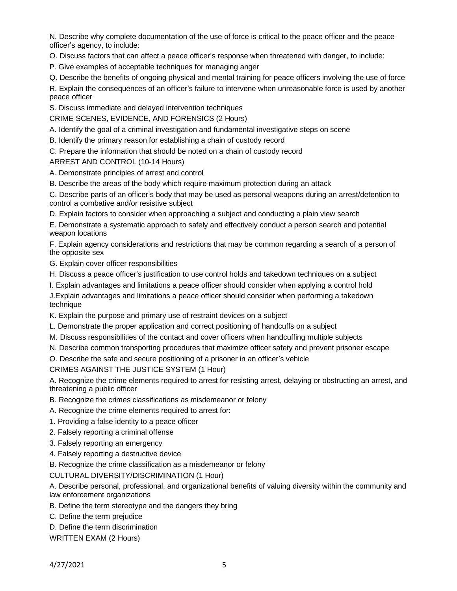N. Describe why complete documentation of the use of force is critical to the peace officer and the peace officer's agency, to include:

O. Discuss factors that can affect a peace officer's response when threatened with danger, to include:

P. Give examples of acceptable techniques for managing anger

Q. Describe the benefits of ongoing physical and mental training for peace officers involving the use of force

R. Explain the consequences of an officer's failure to intervene when unreasonable force is used by another peace officer

S. Discuss immediate and delayed intervention techniques

CRIME SCENES, EVIDENCE, AND FORENSICS (2 Hours)

A. Identify the goal of a criminal investigation and fundamental investigative steps on scene

B. Identify the primary reason for establishing a chain of custody record

C. Prepare the information that should be noted on a chain of custody record

ARREST AND CONTROL (10-14 Hours)

- A. Demonstrate principles of arrest and control
- B. Describe the areas of the body which require maximum protection during an attack

C. Describe parts of an officer's body that may be used as personal weapons during an arrest/detention to control a combative and/or resistive subject

D. Explain factors to consider when approaching a subject and conducting a plain view search

E. Demonstrate a systematic approach to safely and effectively conduct a person search and potential weapon locations

F. Explain agency considerations and restrictions that may be common regarding a search of a person of the opposite sex

G. Explain cover officer responsibilities

- H. Discuss a peace officer's justification to use control holds and takedown techniques on a subject
- I. Explain advantages and limitations a peace officer should consider when applying a control hold

J.Explain advantages and limitations a peace officer should consider when performing a takedown technique

K. Explain the purpose and primary use of restraint devices on a subject

- L. Demonstrate the proper application and correct positioning of handcuffs on a subject
- M. Discuss responsibilities of the contact and cover officers when handcuffing multiple subjects
- N. Describe common transporting procedures that maximize officer safety and prevent prisoner escape

O. Describe the safe and secure positioning of a prisoner in an officer's vehicle

CRIMES AGAINST THE JUSTICE SYSTEM (1 Hour)

A. Recognize the crime elements required to arrest for resisting arrest, delaying or obstructing an arrest, and threatening a public officer

- B. Recognize the crimes classifications as misdemeanor or felony
- A. Recognize the crime elements required to arrest for:
- 1. Providing a false identity to a peace officer
- 2. Falsely reporting a criminal offense
- 3. Falsely reporting an emergency
- 4. Falsely reporting a destructive device

B. Recognize the crime classification as a misdemeanor or felony

CULTURAL DIVERSITY/DISCRIMINATION (1 Hour)

A. Describe personal, professional, and organizational benefits of valuing diversity within the community and law enforcement organizations

- B. Define the term stereotype and the dangers they bring
- C. Define the term prejudice

D. Define the term discrimination

WRITTEN EXAM (2 Hours)